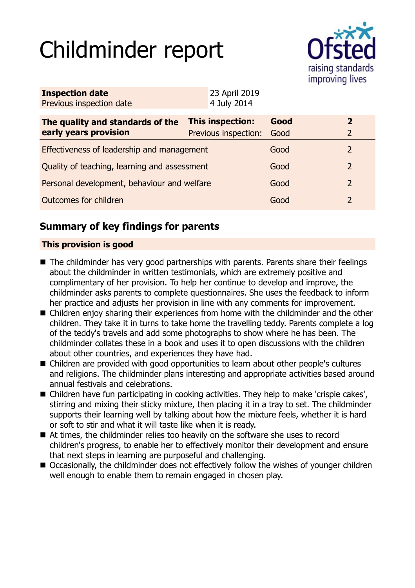# Childminder report



| <b>Inspection date</b><br>Previous inspection date        | 23 April 2019<br>4 July 2014             |              |                                  |
|-----------------------------------------------------------|------------------------------------------|--------------|----------------------------------|
| The quality and standards of the<br>early years provision | This inspection:<br>Previous inspection: | Good<br>Good | $\overline{2}$<br>$\overline{2}$ |
| Effectiveness of leadership and management                |                                          | Good         | $\overline{2}$                   |
| Quality of teaching, learning and assessment              |                                          | Good         | $\overline{2}$                   |
| Personal development, behaviour and welfare               |                                          | Good         | 2                                |
| Outcomes for children                                     |                                          | Good         | 2                                |
|                                                           |                                          |              |                                  |

# **Summary of key findings for parents**

## **This provision is good**

- The childminder has very good partnerships with parents. Parents share their feelings about the childminder in written testimonials, which are extremely positive and complimentary of her provision. To help her continue to develop and improve, the childminder asks parents to complete questionnaires. She uses the feedback to inform her practice and adjusts her provision in line with any comments for improvement.
- Children enjoy sharing their experiences from home with the childminder and the other children. They take it in turns to take home the travelling teddy. Parents complete a log of the teddy's travels and add some photographs to show where he has been. The childminder collates these in a book and uses it to open discussions with the children about other countries, and experiences they have had.
- Children are provided with good opportunities to learn about other people's cultures and religions. The childminder plans interesting and appropriate activities based around annual festivals and celebrations.
- Children have fun participating in cooking activities. They help to make 'crispie cakes', stirring and mixing their sticky mixture, then placing it in a tray to set. The childminder supports their learning well by talking about how the mixture feels, whether it is hard or soft to stir and what it will taste like when it is ready.
- $\blacksquare$  At times, the childminder relies too heavily on the software she uses to record children's progress, to enable her to effectively monitor their development and ensure that next steps in learning are purposeful and challenging.
- Occasionally, the childminder does not effectively follow the wishes of younger children well enough to enable them to remain engaged in chosen play.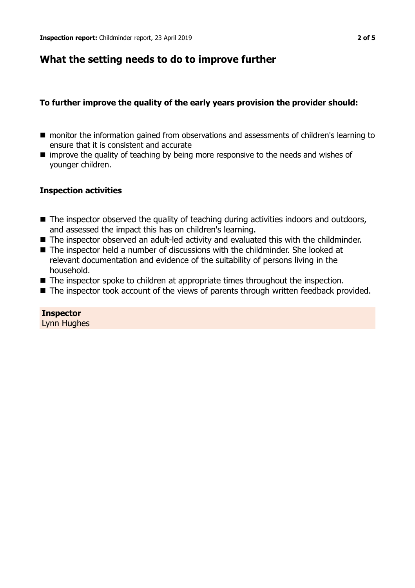## **What the setting needs to do to improve further**

## **To further improve the quality of the early years provision the provider should:**

- monitor the information gained from observations and assessments of children's learning to ensure that it is consistent and accurate
- $\blacksquare$  improve the quality of teaching by being more responsive to the needs and wishes of younger children.

#### **Inspection activities**

- The inspector observed the quality of teaching during activities indoors and outdoors, and assessed the impact this has on children's learning.
- The inspector observed an adult-led activity and evaluated this with the childminder.
- $\blacksquare$  The inspector held a number of discussions with the childminder. She looked at relevant documentation and evidence of the suitability of persons living in the household.
- $\blacksquare$  The inspector spoke to children at appropriate times throughout the inspection.
- The inspector took account of the views of parents through written feedback provided.

# **Inspector**

Lynn Hughes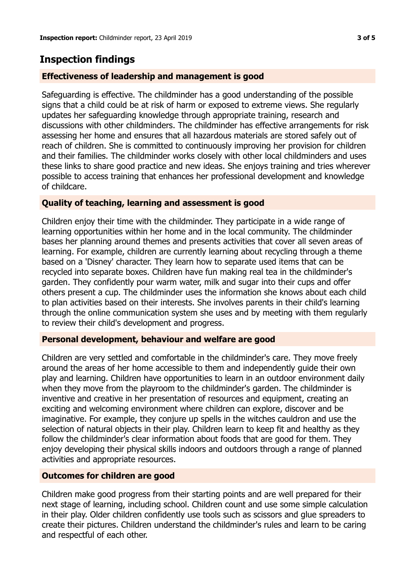# **Inspection findings**

## **Effectiveness of leadership and management is good**

Safeguarding is effective. The childminder has a good understanding of the possible signs that a child could be at risk of harm or exposed to extreme views. She regularly updates her safeguarding knowledge through appropriate training, research and discussions with other childminders. The childminder has effective arrangements for risk assessing her home and ensures that all hazardous materials are stored safely out of reach of children. She is committed to continuously improving her provision for children and their families. The childminder works closely with other local childminders and uses these links to share good practice and new ideas. She enjoys training and tries wherever possible to access training that enhances her professional development and knowledge of childcare.

## **Quality of teaching, learning and assessment is good**

Children enjoy their time with the childminder. They participate in a wide range of learning opportunities within her home and in the local community. The childminder bases her planning around themes and presents activities that cover all seven areas of learning. For example, children are currently learning about recycling through a theme based on a 'Disney' character. They learn how to separate used items that can be recycled into separate boxes. Children have fun making real tea in the childminder's garden. They confidently pour warm water, milk and sugar into their cups and offer others present a cup. The childminder uses the information she knows about each child to plan activities based on their interests. She involves parents in their child's learning through the online communication system she uses and by meeting with them regularly to review their child's development and progress.

#### **Personal development, behaviour and welfare are good**

Children are very settled and comfortable in the childminder's care. They move freely around the areas of her home accessible to them and independently guide their own play and learning. Children have opportunities to learn in an outdoor environment daily when they move from the playroom to the childminder's garden. The childminder is inventive and creative in her presentation of resources and equipment, creating an exciting and welcoming environment where children can explore, discover and be imaginative. For example, they conjure up spells in the witches cauldron and use the selection of natural objects in their play. Children learn to keep fit and healthy as they follow the childminder's clear information about foods that are good for them. They enjoy developing their physical skills indoors and outdoors through a range of planned activities and appropriate resources.

#### **Outcomes for children are good**

Children make good progress from their starting points and are well prepared for their next stage of learning, including school. Children count and use some simple calculation in their play. Older children confidently use tools such as scissors and glue spreaders to create their pictures. Children understand the childminder's rules and learn to be caring and respectful of each other.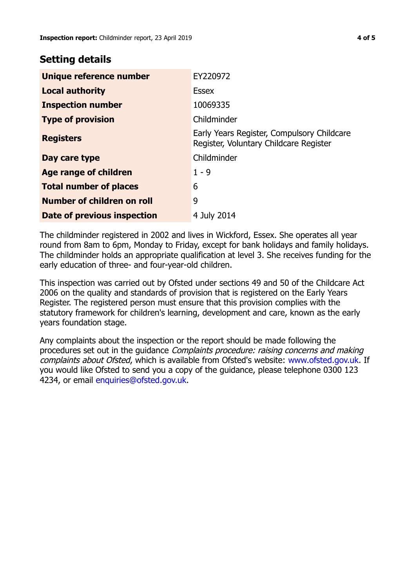## **Setting details**

| Unique reference number       | EY220972                                                                             |
|-------------------------------|--------------------------------------------------------------------------------------|
| <b>Local authority</b>        | <b>Essex</b>                                                                         |
| <b>Inspection number</b>      | 10069335                                                                             |
| <b>Type of provision</b>      | Childminder                                                                          |
| <b>Registers</b>              | Early Years Register, Compulsory Childcare<br>Register, Voluntary Childcare Register |
| Day care type                 | Childminder                                                                          |
| Age range of children         | $1 - 9$                                                                              |
| <b>Total number of places</b> | 6                                                                                    |
| Number of children on roll    | 9                                                                                    |
| Date of previous inspection   | 4 July 2014                                                                          |

The childminder registered in 2002 and lives in Wickford, Essex. She operates all year round from 8am to 6pm, Monday to Friday, except for bank holidays and family holidays. The childminder holds an appropriate qualification at level 3. She receives funding for the early education of three- and four-year-old children.

This inspection was carried out by Ofsted under sections 49 and 50 of the Childcare Act 2006 on the quality and standards of provision that is registered on the Early Years Register. The registered person must ensure that this provision complies with the statutory framework for children's learning, development and care, known as the early years foundation stage.

Any complaints about the inspection or the report should be made following the procedures set out in the guidance Complaints procedure: raising concerns and making complaints about Ofsted, which is available from Ofsted's website: www.ofsted.gov.uk. If you would like Ofsted to send you a copy of the guidance, please telephone 0300 123 4234, or email [enquiries@ofsted.gov.uk.](mailto:enquiries@ofsted.gov.uk)